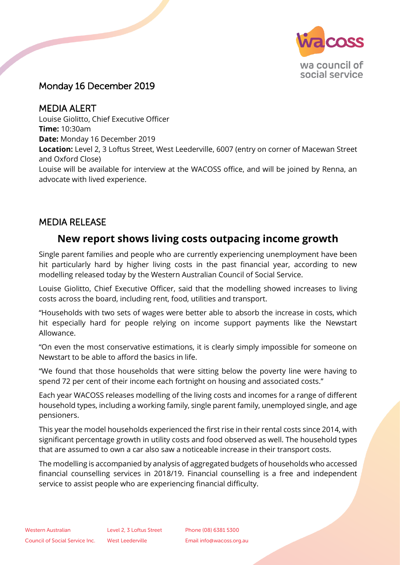

## Monday 16 December 2019

MEDIA ALERT Louise Giolitto, Chief Executive Officer **Time:** 10:30am **Date:** Monday 16 December 2019 **Location:** Level 2, 3 Loftus Street, West Leederville, 6007 (entry on corner of Macewan Street and Oxford Close) Louise will be available for interview at the WACOSS office, and will be joined by Renna, an advocate with lived experience.

## MEDIA RELEASE

# **New report shows living costs outpacing income growth**

Single parent families and people who are currently experiencing unemployment have been hit particularly hard by higher living costs in the past financial year, according to new modelling released today by the Western Australian Council of Social Service.

Louise Giolitto, Chief Executive Officer, said that the modelling showed increases to living costs across the board, including rent, food, utilities and transport.

"Households with two sets of wages were better able to absorb the increase in costs, which hit especially hard for people relying on income support payments like the Newstart Allowance.

"On even the most conservative estimations, it is clearly simply impossible for someone on Newstart to be able to afford the basics in life.

"We found that those households that were sitting below the poverty line were having to spend 72 per cent of their income each fortnight on housing and associated costs."

Each year WACOSS releases modelling of the living costs and incomes for a range of different household types, including a working family, single parent family, unemployed single, and age pensioners.

This year the model households experienced the first rise in their rental costs since 2014, with significant percentage growth in utility costs and food observed as well. The household types that are assumed to own a car also saw a noticeable increase in their transport costs.

The modelling is accompanied by analysis of aggregated budgets of households who accessed financial counselling services in 2018/19. Financial counselling is a free and independent service to assist people who are experiencing financial difficulty.